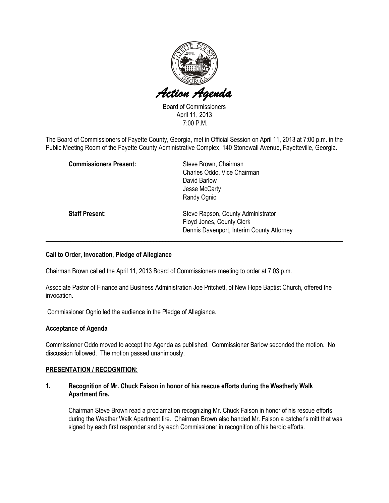

Board of Commissioners April 11, 2013 7:00 P.M.

The Board of Commissioners of Fayette County, Georgia, met in Official Session on April 11, 2013 at 7:00 p.m. in the Public Meeting Room of the Fayette County Administrative Complex, 140 Stonewall Avenue, Fayetteville, Georgia.

| <b>Commissioners Present:</b> | Steve Brown, Chairman<br>Charles Oddo, Vice Chairman<br>David Barlow<br>Jesse McCarty                        |
|-------------------------------|--------------------------------------------------------------------------------------------------------------|
|                               | Randy Ognio                                                                                                  |
| <b>Staff Present:</b>         | Steve Rapson, County Administrator<br>Floyd Jones, County Clerk<br>Dennis Davenport, Interim County Attorney |

# Call to Order, Invocation, Pledge of Allegiance

Chairman Brown called the April 11, 2013 Board of Commissioners meeting to order at 7:03 p.m.

Associate Pastor of Finance and Business Administration Joe Pritchett, of New Hope Baptist Church, offered the invocation.

Commissioner Ognio led the audience in the Pledge of Allegiance.

### Acceptance of Agenda

Commissioner Oddo moved to accept the Agenda as published. Commissioner Barlow seconded the motion. No discussion followed. The motion passed unanimously.

### PRESENTATION / RECOGNITION:

### 1. Recognition of Mr. Chuck Faison in honor of his rescue efforts during the Weatherly Walk Apartment fire.

Chairman Steve Brown read a proclamation recognizing Mr. Chuck Faison in honor of his rescue efforts during the Weather Walk Apartment fire. Chairman Brown also handed Mr. Faison a catcher's mitt that was signed by each first responder and by each Commissioner in recognition of his heroic efforts.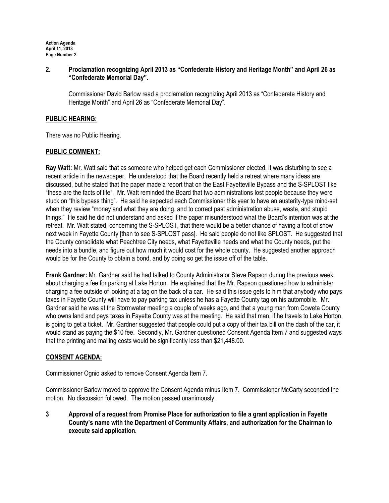Action Agenda April 11, 2013 Page Number 2

# 2. Proclamation recognizing April 2013 as "Confederate History and Heritage Month" and April 26 as "Confederate Memorial Day".

Commissioner David Barlow read a proclamation recognizing April 2013 as "Confederate History and Heritage Month" and April 26 as "Confederate Memorial Day".

# PUBLIC HEARING:

There was no Public Hearing.

# PUBLIC COMMENT:

Ray Watt: Mr. Watt said that as someone who helped get each Commissioner elected, it was disturbing to see a recent article in the newspaper. He understood that the Board recently held a retreat where many ideas are discussed, but he stated that the paper made a report that on the East Fayetteville Bypass and the S-SPLOST like "these are the facts of life". Mr. Watt reminded the Board that two administrations lost people because they were stuck on "this bypass thing". He said he expected each Commissioner this year to have an austerity-type mind-set when they review "money and what they are doing, and to correct past administration abuse, waste, and stupid things." He said he did not understand and asked if the paper misunderstood what the Board's intention was at the retreat. Mr. Watt stated, concerning the S-SPLOST, that there would be a better chance of having a foot of snow next week in Fayette County [than to see S-SPLOST pass]. He said people do not like SPLOST. He suggested that the County consolidate what Peachtree City needs, what Fayetteville needs and what the County needs, put the needs into a bundle, and figure out how much it would cost for the whole county. He suggested another approach would be for the County to obtain a bond, and by doing so get the issue off of the table.

Frank Gardner: Mr. Gardner said he had talked to County Administrator Steve Rapson during the previous week about charging a fee for parking at Lake Horton. He explained that the Mr. Rapson questioned how to administer charging a fee outside of looking at a tag on the back of a car. He said this issue gets to him that anybody who pays taxes in Fayette County will have to pay parking tax unless he has a Fayette County tag on his automobile. Mr. Gardner said he was at the Stormwater meeting a couple of weeks ago, and that a young man from Coweta County who owns land and pays taxes in Fayette County was at the meeting. He said that man, if he travels to Lake Horton, is going to get a ticket. Mr. Gardner suggested that people could put a copy of their tax bill on the dash of the car, it would stand as paying the \$10 fee. Secondly, Mr. Gardner questioned Consent Agenda Item 7 and suggested ways that the printing and mailing costs would be significantly less than \$21,448.00.

### CONSENT AGENDA:

Commissioner Ognio asked to remove Consent Agenda Item 7.

Commissioner Barlow moved to approve the Consent Agenda minus Item 7. Commissioner McCarty seconded the motion. No discussion followed. The motion passed unanimously.

3 Approval of a request from Promise Place for authorization to file a grant application in Fayette County's name with the Department of Community Affairs, and authorization for the Chairman to execute said application.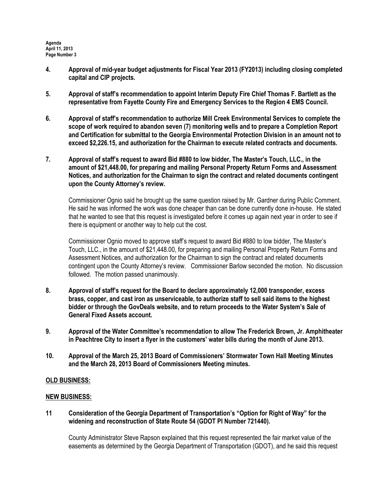- 4. Approval of mid-year budget adjustments for Fiscal Year 2013 (FY2013) including closing completed capital and CIP projects.
- 5. Approval of staff's recommendation to appoint Interim Deputy Fire Chief Thomas F. Bartlett as the representative from Fayette County Fire and Emergency Services to the Region 4 EMS Council.
- 6. Approval of staff's recommendation to authorize Mill Creek Environmental Services to complete the scope of work required to abandon seven (7) monitoring wells and to prepare a Completion Report and Certification for submittal to the Georgia Environmental Protection Division in an amount not to exceed \$2,226.15, and authorization for the Chairman to execute related contracts and documents.
- 7. Approval of staff's request to award Bid #880 to low bidder, The Master's Touch, LLC., in the amount of \$21,448.00, for preparing and mailing Personal Property Return Forms and Assessment Notices, and authorization for the Chairman to sign the contract and related documents contingent upon the County Attorney's review.

Commissioner Ognio said he brought up the same question raised by Mr. Gardner during Public Comment. He said he was informed the work was done cheaper than can be done currently done in-house. He stated that he wanted to see that this request is investigated before it comes up again next year in order to see if there is equipment or another way to help cut the cost.

Commissioner Ognio moved to approve staff's request to award Bid #880 to low bidder, The Master's Touch, LLC., in the amount of \$21,448.00, for preparing and mailing Personal Property Return Forms and Assessment Notices, and authorization for the Chairman to sign the contract and related documents contingent upon the County Attorney's review. Commissioner Barlow seconded the motion. No discussion followed. The motion passed unanimously.

- 8. Approval of staff's request for the Board to declare approximately 12,000 transponder, excess brass, copper, and cast iron as unserviceable, to authorize staff to sell said items to the highest bidder or through the GovDeals website, and to return proceeds to the Water System's Sale of General Fixed Assets account.
- 9. Approval of the Water Committee's recommendation to allow The Frederick Brown, Jr. Amphitheater in Peachtree City to insert a flyer in the customers' water bills during the month of June 2013.
- 10. Approval of the March 25, 2013 Board of Commissioners' Stormwater Town Hall Meeting Minutes and the March 28, 2013 Board of Commissioners Meeting minutes.

# OLD BUSINESS:

### NEW BUSINESS:

11 Consideration of the Georgia Department of Transportation's "Option for Right of Way" for the widening and reconstruction of State Route 54 (GDOT PI Number 721440).

County Administrator Steve Rapson explained that this request represented the fair market value of the easements as determined by the Georgia Department of Transportation (GDOT), and he said this request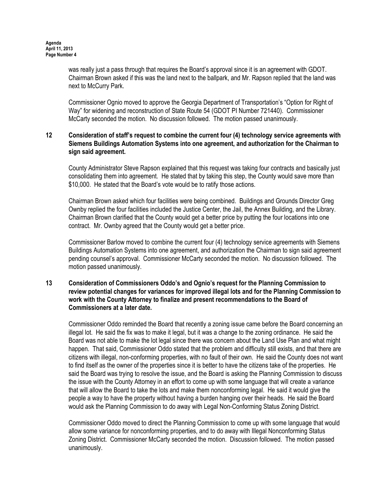was really just a pass through that requires the Board's approval since it is an agreement with GDOT. Chairman Brown asked if this was the land next to the ballpark, and Mr. Rapson replied that the land was next to McCurry Park.

Commissioner Ognio moved to approve the Georgia Department of Transportation's "Option for Right of Way" for widening and reconstruction of State Route 54 (GDOT PI Number 721440). Commissioner McCarty seconded the motion. No discussion followed. The motion passed unanimously.

# 12 Consideration of staff's request to combine the current four (4) technology service agreements with Siemens Buildings Automation Systems into one agreement, and authorization for the Chairman to sign said agreement.

County Administrator Steve Rapson explained that this request was taking four contracts and basically just consolidating them into agreement. He stated that by taking this step, the County would save more than \$10,000. He stated that the Board's vote would be to ratify those actions.

Chairman Brown asked which four facilities were being combined. Buildings and Grounds Director Greg Ownby replied the four facilities included the Justice Center, the Jail, the Annex Building, and the Library. Chairman Brown clarified that the County would get a better price by putting the four locations into one contract. Mr. Ownby agreed that the County would get a better price.

Commissioner Barlow moved to combine the current four (4) technology service agreements with Siemens Buildings Automation Systems into one agreement, and authorization the Chairman to sign said agreement pending counsel's approval. Commissioner McCarty seconded the motion. No discussion followed. The motion passed unanimously.

# 13 Consideration of Commissioners Oddo's and Ognio's request for the Planning Commission to review potential changes for variances for improved illegal lots and for the Planning Commission to work with the County Attorney to finalize and present recommendations to the Board of Commissioners at a later date.

Commissioner Oddo reminded the Board that recently a zoning issue came before the Board concerning an illegal lot. He said the fix was to make it legal, but it was a change to the zoning ordinance. He said the Board was not able to make the lot legal since there was concern about the Land Use Plan and what might happen. That said, Commissioner Oddo stated that the problem and difficulty still exists, and that there are citizens with illegal, non-conforming properties, with no fault of their own. He said the County does not want to find itself as the owner of the properties since it is better to have the citizens take of the properties. He said the Board was trying to resolve the issue, and the Board is asking the Planning Commission to discuss the issue with the County Attorney in an effort to come up with some language that will create a variance that will allow the Board to take the lots and make them nonconforming legal. He said it would give the people a way to have the property without having a burden hanging over their heads. He said the Board would ask the Planning Commission to do away with Legal Non-Conforming Status Zoning District.

Commissioner Oddo moved to direct the Planning Commission to come up with some language that would allow some variance for nonconforming properties, and to do away with Illegal Nonconforming Status Zoning District. Commissioner McCarty seconded the motion. Discussion followed. The motion passed unanimously.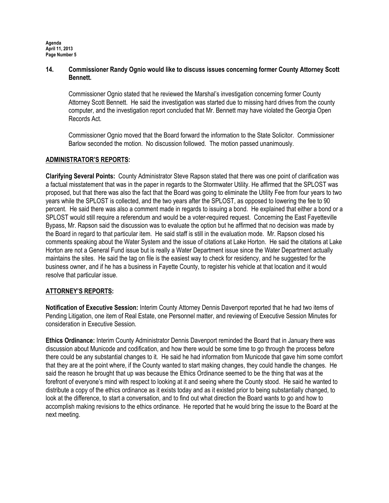Agenda April 11, 2013 Page Number 5

# 14. Commissioner Randy Ognio would like to discuss issues concerning former County Attorney Scott Bennett.

Commissioner Ognio stated that he reviewed the Marshal's investigation concerning former County Attorney Scott Bennett. He said the investigation was started due to missing hard drives from the county computer, and the investigation report concluded that Mr. Bennett may have violated the Georgia Open Records Act.

Commissioner Ognio moved that the Board forward the information to the State Solicitor. Commissioner Barlow seconded the motion. No discussion followed. The motion passed unanimously.

# ADMINISTRATOR'S REPORTS:

Clarifying Several Points: County Administrator Steve Rapson stated that there was one point of clarification was a factual misstatement that was in the paper in regards to the Stormwater Utility. He affirmed that the SPLOST was proposed, but that there was also the fact that the Board was going to eliminate the Utility Fee from four years to two years while the SPLOST is collected, and the two years after the SPLOST, as opposed to lowering the fee to 90 percent. He said there was also a comment made in regards to issuing a bond. He explained that either a bond or a SPLOST would still require a referendum and would be a voter-required request. Concerning the East Fayetteville Bypass, Mr. Rapson said the discussion was to evaluate the option but he affirmed that no decision was made by the Board in regard to that particular item. He said staff is still in the evaluation mode. Mr. Rapson closed his comments speaking about the Water System and the issue of citations at Lake Horton. He said the citations at Lake Horton are not a General Fund issue but is really a Water Department issue since the Water Department actually maintains the sites. He said the tag on file is the easiest way to check for residency, and he suggested for the business owner, and if he has a business in Fayette County, to register his vehicle at that location and it would resolve that particular issue.

### ATTORNEY'S REPORTS:

Notification of Executive Session: Interim County Attorney Dennis Davenport reported that he had two items of Pending Litigation, one item of Real Estate, one Personnel matter, and reviewing of Executive Session Minutes for consideration in Executive Session.

Ethics Ordinance: Interim County Administrator Dennis Davenport reminded the Board that in January there was discussion about Municode and codification, and how there would be some time to go through the process before there could be any substantial changes to it. He said he had information from Municode that gave him some comfort that they are at the point where, if the County wanted to start making changes, they could handle the changes. He said the reason he brought that up was because the Ethics Ordinance seemed to be the thing that was at the forefront of everyone's mind with respect to looking at it and seeing where the County stood. He said he wanted to distribute a copy of the ethics ordinance as it exists today and as it existed prior to being substantially changed, to look at the difference, to start a conversation, and to find out what direction the Board wants to go and how to accomplish making revisions to the ethics ordinance. He reported that he would bring the issue to the Board at the next meeting.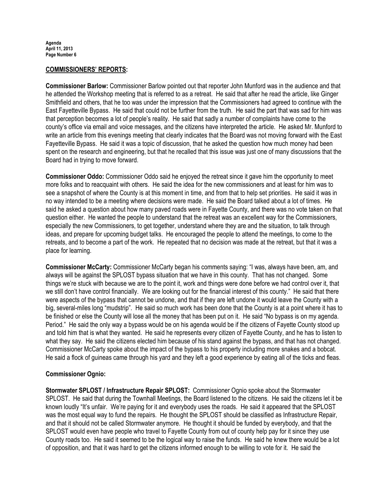### COMMISSIONERS' REPORTS:

Commissioner Barlow: Commissioner Barlow pointed out that reporter John Munford was in the audience and that he attended the Workshop meeting that is referred to as a retreat. He said that after he read the article, like Ginger Smithfield and others, that he too was under the impression that the Commissioners had agreed to continue with the East Fayetteville Bypass. He said that could not be further from the truth. He said the part that was sad for him was that perception becomes a lot of people's reality. He said that sadly a number of complaints have come to the county's office via email and voice messages, and the citizens have interpreted the article. He asked Mr. Munford to write an article from this evenings meeting that clearly indicates that the Board was not moving forward with the East Fayetteville Bypass. He said it was a topic of discussion, that he asked the question how much money had been spent on the research and engineering, but that he recalled that this issue was just one of many discussions that the Board had in trying to move forward.

Commissioner Oddo: Commissioner Oddo said he enjoyed the retreat since it gave him the opportunity to meet more folks and to reacquaint with others. He said the idea for the new commissioners and at least for him was to see a snapshot of where the County is at this moment in time, and from that to help set priorities. He said it was in no way intended to be a meeting where decisions were made. He said the Board talked about a lot of times. He said he asked a question about how many paved roads were in Fayette County, and there was no vote taken on that question either. He wanted the people to understand that the retreat was an excellent way for the Commissioners, especially the new Commissioners, to get together, understand where they are and the situation, to talk through ideas, and prepare for upcoming budget talks. He encouraged the people to attend the meetings, to come to the retreats, and to become a part of the work. He repeated that no decision was made at the retreat, but that it was a place for learning.

Commissioner McCarty: Commissioner McCarty began his comments saying: "I was, always have been, am, and always will be against the SPLOST bypass situation that we have in this county. That has not changed. Some things we're stuck with because we are to the point it, work and things were done before we had control over it, that we still don't have control financially. We are looking out for the financial interest of this county." He said that there were aspects of the bypass that cannot be undone, and that if they are left undone it would leave the County with a big, several-miles long "mudstrip". He said so much work has been done that the County is at a point where it has to be finished or else the County will lose all the money that has been put on it. He said "No bypass is on my agenda. Period." He said the only way a bypass would be on his agenda would be if the citizens of Fayette County stood up and told him that is what they wanted. He said he represents every citizen of Fayette County, and he has to listen to what they say. He said the citizens elected him because of his stand against the bypass, and that has not changed. Commissioner McCarty spoke about the impact of the bypass to his property including more snakes and a bobcat. He said a flock of guineas came through his yard and they left a good experience by eating all of the ticks and fleas.

### Commissioner Ognio:

Stormwater SPLOST / Infrastructure Repair SPLOST: Commissioner Ognio spoke about the Stormwater SPLOST. He said that during the Townhall Meetings, the Board listened to the citizens. He said the citizens let it be known loudly "It's unfair. We're paying for it and everybody uses the roads. He said it appeared that the SPLOST was the most equal way to fund the repairs. He thought the SPLOST should be classified as Infrastructure Repair, and that it should not be called Stormwater anymore. He thought it should be funded by everybody, and that the SPLOST would even have people who travel to Fayette County from out of county help pay for it since they use County roads too. He said it seemed to be the logical way to raise the funds. He said he knew there would be a lot of opposition, and that it was hard to get the citizens informed enough to be willing to vote for it. He said the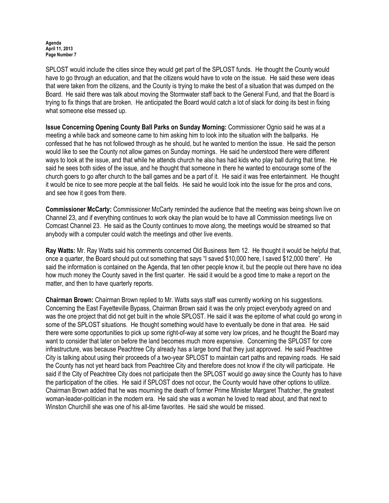#### Agenda April 11, 2013 Page Number 7

SPLOST would include the cities since they would get part of the SPLOST funds. He thought the County would have to go through an education, and that the citizens would have to vote on the issue. He said these were ideas that were taken from the citizens, and the County is trying to make the best of a situation that was dumped on the Board. He said there was talk about moving the Stormwater staff back to the General Fund, and that the Board is trying to fix things that are broken. He anticipated the Board would catch a lot of slack for doing its best in fixing what someone else messed up.

Issue Concerning Opening County Ball Parks on Sunday Morning: Commissioner Ognio said he was at a meeting a while back and someone came to him asking him to look into the situation with the ballparks. He confessed that he has not followed through as he should, but he wanted to mention the issue. He said the person would like to see the County not allow games on Sunday mornings. He said he understood there were different ways to look at the issue, and that while he attends church he also has had kids who play ball during that time. He said he sees both sides of the issue, and he thought that someone in there he wanted to encourage some of the church goers to go after church to the ball games and be a part of it. He said it was free entertainment. He thought it would be nice to see more people at the ball fields. He said he would look into the issue for the pros and cons, and see how it goes from there.

Commissioner McCarty: Commissioner McCarty reminded the audience that the meeting was being shown live on Channel 23, and if everything continues to work okay the plan would be to have all Commission meetings live on Comcast Channel 23. He said as the County continues to move along, the meetings would be streamed so that anybody with a computer could watch the meetings and other live events.

Ray Watts: Mr. Ray Watts said his comments concerned Old Business Item 12. He thought it would be helpful that, once a quarter, the Board should put out something that says "I saved \$10,000 here, I saved \$12,000 there". He said the information is contained on the Agenda, that ten other people know it, but the people out there have no idea how much money the County saved in the first quarter. He said it would be a good time to make a report on the matter, and then to have quarterly reports.

Chairman Brown: Chairman Brown replied to Mr. Watts says staff was currently working on his suggestions. Concerning the East Fayetteville Bypass, Chairman Brown said it was the only project everybody agreed on and was the one project that did not get built in the whole SPLOST. He said it was the epitome of what could go wrong in some of the SPLOST situations. He thought something would have to eventually be done in that area. He said there were some opportunities to pick up some right-of-way at some very low prices, and he thought the Board may want to consider that later on before the land becomes much more expensive. Concerning the SPLOST for core infrastructure, was because Peachtree City already has a large bond that they just approved. He said Peachtree City is talking about using their proceeds of a two-year SPLOST to maintain cart paths and repaving roads. He said the County has not yet heard back from Peachtree City and therefore does not know if the city will participate. He said if the City of Peachtree City does not participate then the SPLOST would go away since the County has to have the participation of the cities. He said if SPLOST does not occur, the County would have other options to utilize. Chairman Brown added that he was mourning the death of former Prime Minister Margaret Thatcher, the greatest woman-leader-politician in the modern era. He said she was a woman he loved to read about, and that next to Winston Churchill she was one of his all-time favorites. He said she would be missed.